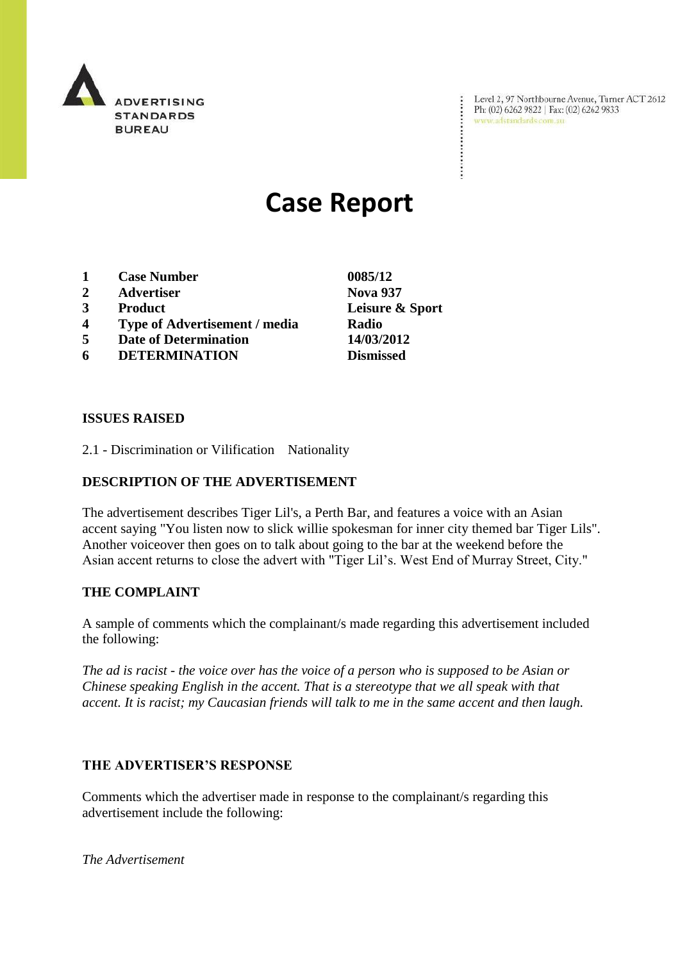

Level 2, 97 Northbourne Avenue, Turner ACT 2612<br>Ph: (02) 6262 9822 | Fax: (02) 6262 9833<br>www.adstandards.com.au

÷

# **Case Report**

- **1 Case Number 0085/12**
- **2 Advertiser Nova 937**
- **3 Product Leisure & Sport**
- **4 Type of Advertisement / media Radio**
- **5 Date of Determination 14/03/2012**
- **6 DETERMINATION Dismissed**

**ISSUES RAISED**

2.1 - Discrimination or Vilification Nationality

### **DESCRIPTION OF THE ADVERTISEMENT**

The advertisement describes Tiger Lil's, a Perth Bar, and features a voice with an Asian accent saying "You listen now to slick willie spokesman for inner city themed bar Tiger Lils". Another voiceover then goes on to talk about going to the bar at the weekend before the Asian accent returns to close the advert with "Tiger Lil's. West End of Murray Street, City."

### **THE COMPLAINT**

A sample of comments which the complainant/s made regarding this advertisement included the following:

*The ad is racist - the voice over has the voice of a person who is supposed to be Asian or Chinese speaking English in the accent. That is a stereotype that we all speak with that accent. It is racist; my Caucasian friends will talk to me in the same accent and then laugh.*

### **THE ADVERTISER'S RESPONSE**

Comments which the advertiser made in response to the complainant/s regarding this advertisement include the following:

*The Advertisement*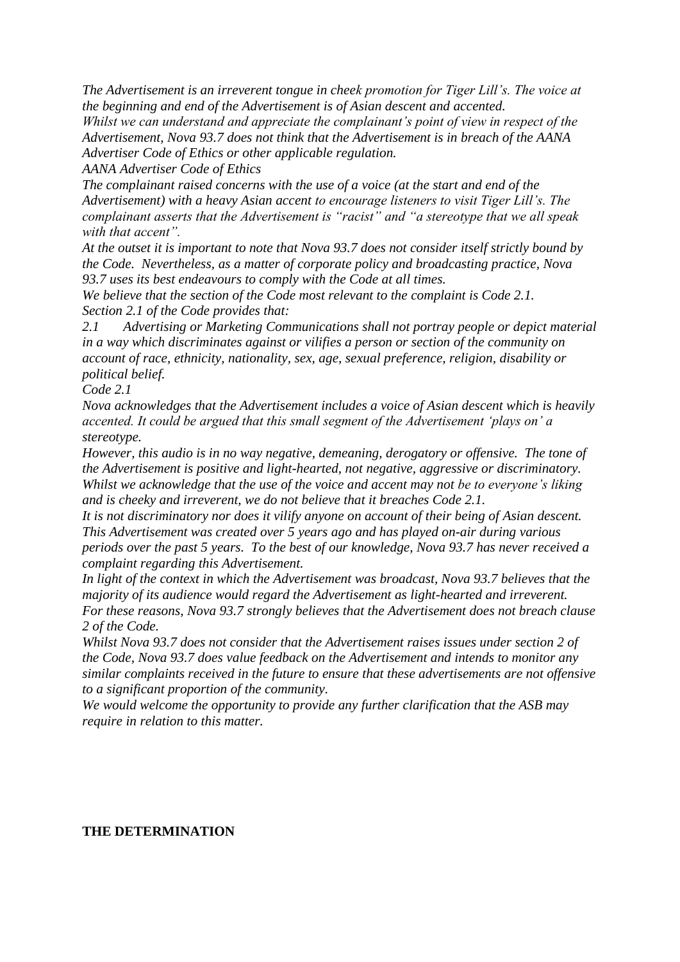*The Advertisement is an irreverent tongue in cheek promotion for Tiger Lill"s. The voice at the beginning and end of the Advertisement is of Asian descent and accented.*

*Whilst we can understand and appreciate the complainant"s point of view in respect of the Advertisement, Nova 93.7 does not think that the Advertisement is in breach of the AANA Advertiser Code of Ethics or other applicable regulation.*

*AANA Advertiser Code of Ethics*

*The complainant raised concerns with the use of a voice (at the start and end of the Advertisement) with a heavy Asian accent to encourage listeners to visit Tiger Lill"s. The complainant asserts that the Advertisement is "racist" and "a stereotype that we all speak with that accent".*

*At the outset it is important to note that Nova 93.7 does not consider itself strictly bound by the Code. Nevertheless, as a matter of corporate policy and broadcasting practice, Nova 93.7 uses its best endeavours to comply with the Code at all times.*

*We believe that the section of the Code most relevant to the complaint is Code 2.1. Section 2.1 of the Code provides that:*

*2.1 Advertising or Marketing Communications shall not portray people or depict material in a way which discriminates against or vilifies a person or section of the community on account of race, ethnicity, nationality, sex, age, sexual preference, religion, disability or political belief.*

*Code 2.1*

*Nova acknowledges that the Advertisement includes a voice of Asian descent which is heavily accented. It could be argued that this small segment of the Advertisement "plays on" a stereotype.*

*However, this audio is in no way negative, demeaning, derogatory or offensive. The tone of the Advertisement is positive and light-hearted, not negative, aggressive or discriminatory. Whilst we acknowledge that the use of the voice and accent may not be to everyone"s liking and is cheeky and irreverent, we do not believe that it breaches Code 2.1.*

*It is not discriminatory nor does it vilify anyone on account of their being of Asian descent. This Advertisement was created over 5 years ago and has played on-air during various periods over the past 5 years. To the best of our knowledge, Nova 93.7 has never received a complaint regarding this Advertisement.*

*In light of the context in which the Advertisement was broadcast, Nova 93.7 believes that the majority of its audience would regard the Advertisement as light-hearted and irreverent. For these reasons, Nova 93.7 strongly believes that the Advertisement does not breach clause 2 of the Code.*

*Whilst Nova 93.7 does not consider that the Advertisement raises issues under section 2 of the Code, Nova 93.7 does value feedback on the Advertisement and intends to monitor any similar complaints received in the future to ensure that these advertisements are not offensive to a significant proportion of the community.* 

*We would welcome the opportunity to provide any further clarification that the ASB may require in relation to this matter.*

## **THE DETERMINATION**